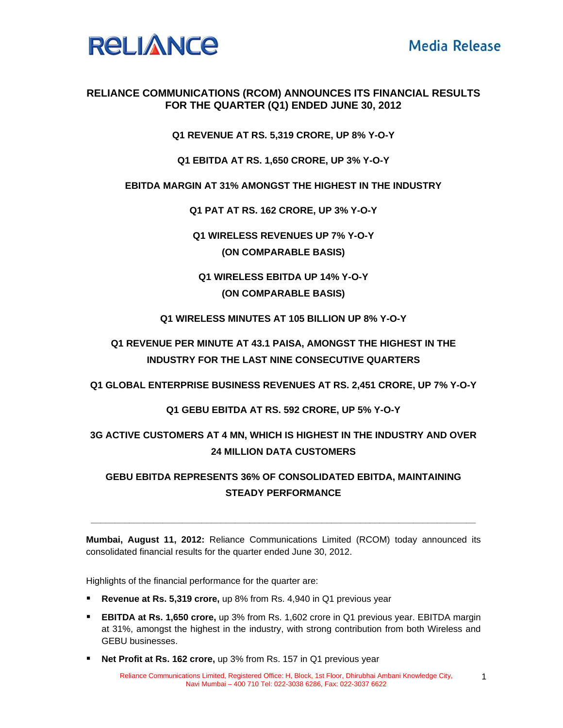

1

## **RELIANCE COMMUNICATIONS (RCOM) ANNOUNCES ITS FINANCIAL RESULTS FOR THE QUARTER (Q1) ENDED JUNE 30, 2012**

**Q1 REVENUE AT RS. 5,319 CRORE, UP 8% Y-O-Y** 

**Q1 EBITDA AT RS. 1,650 CRORE, UP 3% Y-O-Y** 

## **EBITDA MARGIN AT 31% AMONGST THE HIGHEST IN THE INDUSTRY**

**Q1 PAT AT RS. 162 CRORE, UP 3% Y-O-Y** 

**Q1 WIRELESS REVENUES UP 7% Y-O-Y (ON COMPARABLE BASIS)** 

**Q1 WIRELESS EBITDA UP 14% Y-O-Y (ON COMPARABLE BASIS)** 

**Q1 WIRELESS MINUTES AT 105 BILLION UP 8% Y-O-Y** 

**Q1 REVENUE PER MINUTE AT 43.1 PAISA, AMONGST THE HIGHEST IN THE INDUSTRY FOR THE LAST NINE CONSECUTIVE QUARTERS** 

**Q1 GLOBAL ENTERPRISE BUSINESS REVENUES AT RS. 2,451 CRORE, UP 7% Y-O-Y** 

### **Q1 GEBU EBITDA AT RS. 592 CRORE, UP 5% Y-O-Y**

# **3G ACTIVE CUSTOMERS AT 4 MN, WHICH IS HIGHEST IN THE INDUSTRY AND OVER 24 MILLION DATA CUSTOMERS**

# **GEBU EBITDA REPRESENTS 36% OF CONSOLIDATED EBITDA, MAINTAINING STEADY PERFORMANCE**

**Mumbai, August 11, 2012:** Reliance Communications Limited (RCOM) today announced its consolidated financial results for the quarter ended June 30, 2012.

**\_\_\_\_\_\_\_\_\_\_\_\_\_\_\_\_\_\_\_\_\_\_\_\_\_\_\_\_\_\_\_\_\_\_\_\_\_\_\_\_\_\_\_\_\_\_\_\_\_\_\_\_\_\_\_\_\_\_\_\_\_\_\_\_\_\_\_\_\_\_\_\_\_\_\_\_\_\_\_\_** 

Highlights of the financial performance for the quarter are:

- **Revenue at Rs. 5,319 crore,** up 8% from Rs. 4,940 in Q1 previous year
- **EBITDA at Rs. 1,650 crore,** up 3% from Rs. 1,602 crore in Q1 previous year. EBITDA margin at 31%, amongst the highest in the industry, with strong contribution from both Wireless and GEBU businesses.
- **Net Profit at Rs. 162 crore,** up 3% from Rs. 157 in Q1 previous year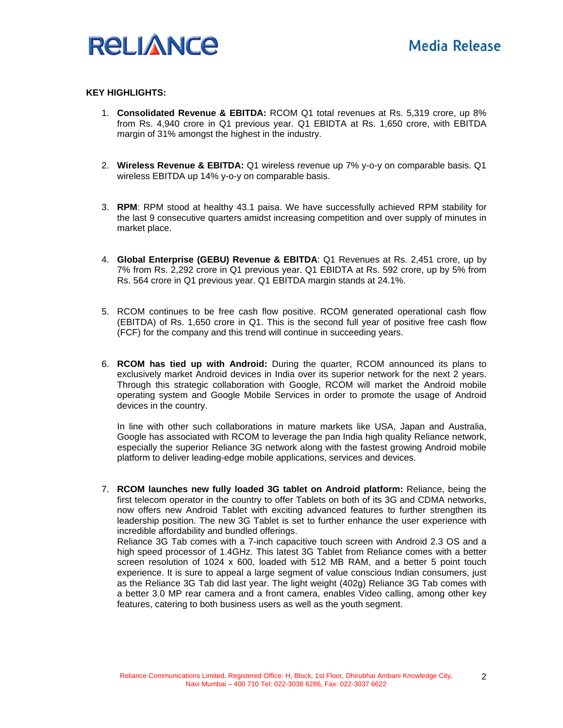

#### **KEY HIGHLIGHTS:**

- 1. **Consolidated Revenue & EBITDA:** RCOM Q1 total revenues at Rs. 5,319 crore, up 8% from Rs. 4,940 crore in Q1 previous year. Q1 EBIDTA at Rs. 1,650 crore, with EBITDA margin of 31% amongst the highest in the industry.
- 2. **Wireless Revenue & EBITDA:** Q1 wireless revenue up 7% y-o-y on comparable basis. Q1 wireless EBITDA up 14% y-o-y on comparable basis.
- 3. **RPM**: RPM stood at healthy 43.1 paisa. We have successfully achieved RPM stability for the last 9 consecutive quarters amidst increasing competition and over supply of minutes in market place.
- 4. **Global Enterprise (GEBU) Revenue & EBITDA**: Q1 Revenues at Rs. 2,451 crore, up by 7% from Rs. 2,292 crore in Q1 previous year. Q1 EBIDTA at Rs. 592 crore, up by 5% from Rs. 564 crore in Q1 previous year. Q1 EBITDA margin stands at 24.1%.
- 5. RCOM continues to be free cash flow positive. RCOM generated operational cash flow (EBITDA) of Rs. 1,650 crore in Q1. This is the second full year of positive free cash flow (FCF) for the company and this trend will continue in succeeding years.
- 6. **RCOM has tied up with Android:** During the quarter, RCOM announced its plans to exclusively market Android devices in India over its superior network for the next 2 years. Through this strategic collaboration with Google, RCOM will market the Android mobile operating system and Google Mobile Services in order to promote the usage of Android devices in the country.

In line with other such collaborations in mature markets like USA, Japan and Australia, Google has associated with RCOM to leverage the pan India high quality Reliance network, especially the superior Reliance 3G network along with the fastest growing Android mobile platform to deliver leading-edge mobile applications, services and devices.

7. **RCOM launches new fully loaded 3G tablet on Android platform:** Reliance, being the first telecom operator in the country to offer Tablets on both of its 3G and CDMA networks, now offers new Android Tablet with exciting advanced features to further strengthen its leadership position. The new 3G Tablet is set to further enhance the user experience with incredible affordability and bundled offerings.

Reliance 3G Tab comes with a 7-inch capacitive touch screen with Android 2.3 OS and a high speed processor of 1.4GHz. This latest 3G Tablet from Reliance comes with a better screen resolution of 1024 x 600, loaded with 512 MB RAM, and a better 5 point touch experience. It is sure to appeal a large segment of value conscious Indian consumers, just as the Reliance 3G Tab did last year. The light weight (402g) Reliance 3G Tab comes with a better 3.0 MP rear camera and a front camera, enables Video calling, among other key features, catering to both business users as well as the youth segment.

2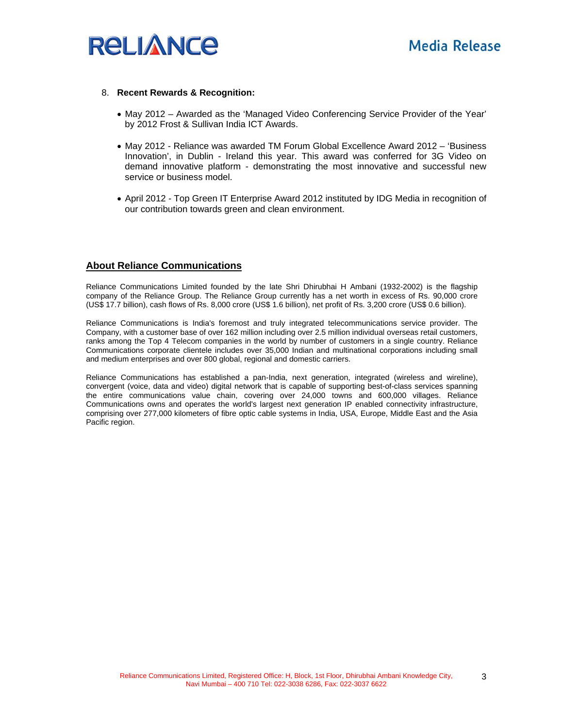

#### 8. **Recent Rewards & Recognition:**

- May 2012 Awarded as the 'Managed Video Conferencing Service Provider of the Year' by 2012 Frost & Sullivan India ICT Awards.
- May 2012 Reliance was awarded TM Forum Global Excellence Award 2012 'Business Innovation', in Dublin - Ireland this year. This award was conferred for 3G Video on demand innovative platform - demonstrating the most innovative and successful new service or business model.
- April 2012 Top Green IT Enterprise Award 2012 instituted by IDG Media in recognition of our contribution towards green and clean environment.

#### **About Reliance Communications**

Reliance Communications Limited founded by the late Shri Dhirubhai H Ambani (1932-2002) is the flagship company of the Reliance Group. The Reliance Group currently has a net worth in excess of Rs. 90,000 crore (US\$ 17.7 billion), cash flows of Rs. 8,000 crore (US\$ 1.6 billion), net profit of Rs. 3,200 crore (US\$ 0.6 billion).

Reliance Communications is India's foremost and truly integrated telecommunications service provider. The Company, with a customer base of over 162 million including over 2.5 million individual overseas retail customers, ranks among the Top 4 Telecom companies in the world by number of customers in a single country. Reliance Communications corporate clientele includes over 35,000 Indian and multinational corporations including small and medium enterprises and over 800 global, regional and domestic carriers.

Reliance Communications has established a pan-India, next generation, integrated (wireless and wireline), convergent (voice, data and video) digital network that is capable of supporting best-of-class services spanning the entire communications value chain, covering over 24,000 towns and 600,000 villages. Reliance Communications owns and operates the world's largest next generation IP enabled connectivity infrastructure, comprising over 277,000 kilometers of fibre optic cable systems in India, USA, Europe, Middle East and the Asia Pacific region.

3